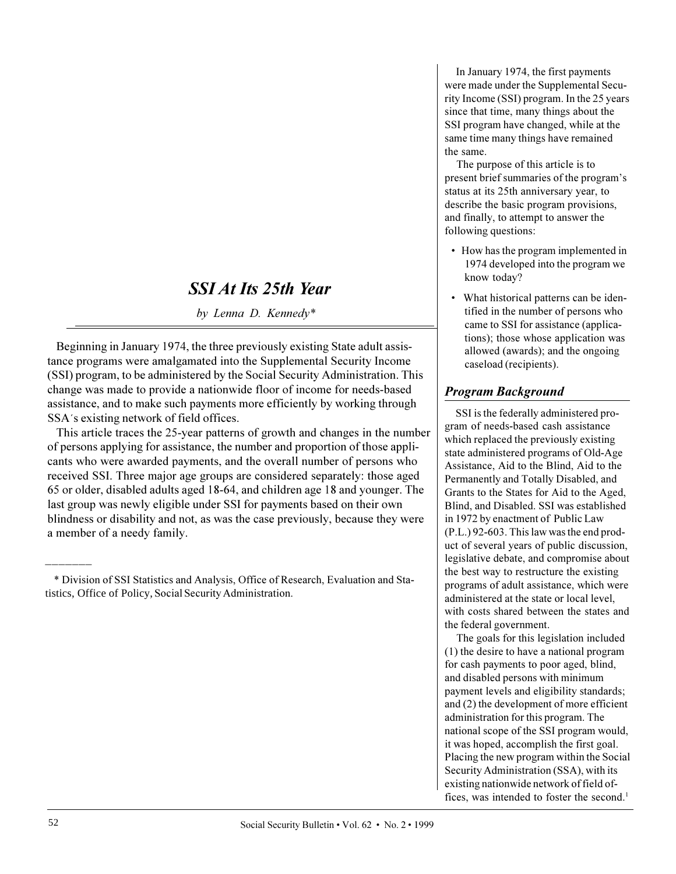# **SSI At Its 25th Year**

by Lenna D. Kennedy\*

Beginning in January 1974, the three previously existing State adult assistance programs were amalgamated into the Supplemental Security Income (SSI) program, to be administered by the Social Security Administration. This change was made to provide a nationwide floor of income for needs-based assistance, and to make such payments more efficiently by working through SSA's existing network of field offices.

This article traces the 25-year patterns of growth and changes in the number of persons applying for assistance, the number and proportion of those applicants who were awarded payments, and the overall number of persons who received SSI. Three major age groups are considered separately: those aged 65 or older, disabled adults aged 18-64, and children age 18 and younger. The last group was newly eligible under SSI for payments based on their own blindness or disability and not, as was the case previously, because they were a member of a needy family.

In January 1974, the first payments were made under the Supplemental Security Income (SSI) program. In the 25 years since that time, many things about the SSI program have changed, while at the same time many things have remained the same.

The purpose of this article is to present brief summaries of the program's status at its 25th anniversary year, to describe the basic program provisions, and finally, to attempt to answer the following questions:

- How has the program implemented in 1974 developed into the program we know today?
- What historical patterns can be identified in the number of persons who came to SSI for assistance (applications); those whose application was allowed (awards); and the ongoing caseload (recipients).

## **Program Background**

SSI is the federally administered program of needs-based cash assistance which replaced the previously existing state administered programs of Old-Age Assistance, Aid to the Blind, Aid to the Permanently and Totally Disabled, and Grants to the States for Aid to the Aged, Blind, and Disabled. SSI was established in 1972 by enactment of Public Law  $(P.L.)$  92-603. This law was the end product of several years of public discussion, legislative debate, and compromise about the best way to restructure the existing programs of adult assistance, which were administered at the state or local level with costs shared between the states and the federal government.

The goals for this legislation included  $(1)$  the desire to have a national program for cash payments to poor aged, blind, and disabled persons with minimum payment levels and eligibility standards; and  $(2)$  the development of more efficient administration for this program. The national scope of the SSI program would, it was hoped, accomplish the first goal. Placing the new program within the Social Security Administration (SSA), with its existing nationwide network of field offices, was intended to foster the second.<sup>1</sup>

<sup>\*</sup> Division of SSI Statistics and Analysis, Office of Research, Evaluation and Statistics, Office of Policy, Social Security Administration.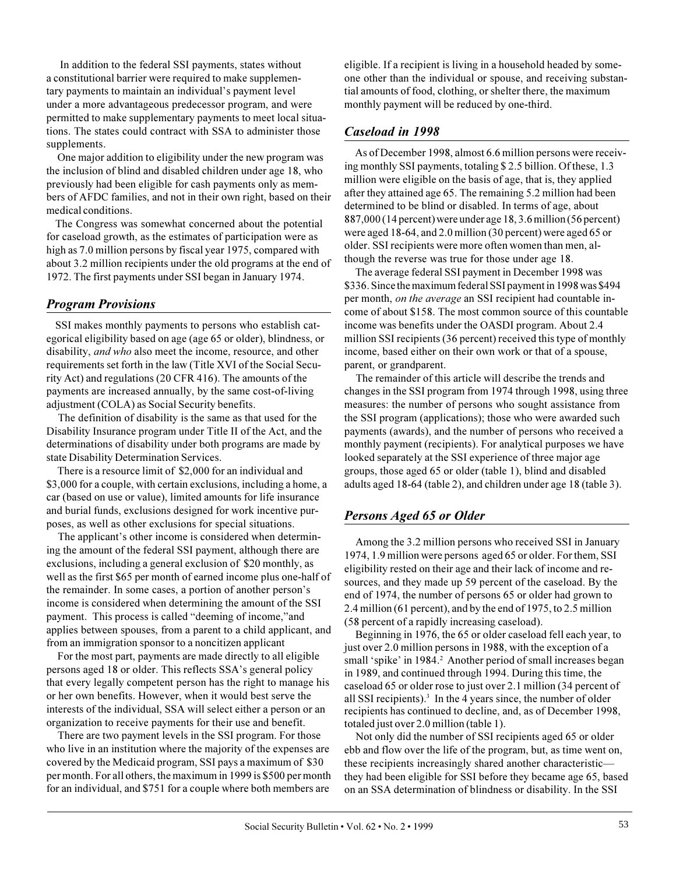In addition to the federal SSI payments, states without a constitutional barrier were required to make supplementary payments to maintain an individual's payment level under a more advantageous predecessor program, and were permitted to make supplementary payments to meet local situations. The states could contract with SSA to administer those supplements.

One major addition to eligibility under the new program was the inclusion of blind and disabled children under age 18, who previously had been eligible for cash payments only as members of AFDC families, and not in their own right, based on their medical conditions.

The Congress was somewhat concerned about the potential for caseload growth, as the estimates of participation were as high as 7.0 million persons by fiscal year 1975, compared with about 3.2 million recipients under the old programs at the end of 1972. The first payments under SSI began in January 1974.

## **Program Provisions**

SSI makes monthly payments to persons who establish categorical eligibility based on age (age 65 or older), blindness, or disability, and who also meet the income, resource, and other requirements set forth in the law (Title XVI of the Social Security Act) and regulations (20 CFR 416). The amounts of the payments are increased annually, by the same cost-of-living adjustment (COLA) as Social Security benefits.

The definition of disability is the same as that used for the Disability Insurance program under Title II of the Act, and the determinations of disability under both programs are made by state Disability Determination Services.

There is a resource limit of \$2,000 for an individual and \$3,000 for a couple, with certain exclusions, including a home, a car (based on use or value), limited amounts for life insurance and burial funds, exclusions designed for work incentive purposes, as well as other exclusions for special situations.

The applicant's other income is considered when determining the amount of the federal SSI payment, although there are exclusions, including a general exclusion of \$20 monthly, as well as the first \$65 per month of earned income plus one-half of the remainder. In some cases, a portion of another person's income is considered when determining the amount of the SSI payment. This process is called "deeming of income," and applies between spouses, from a parent to a child applicant, and from an immigration sponsor to a noncitizen applicant

For the most part, payments are made directly to all eligible persons aged 18 or older. This reflects SSA's general policy that every legally competent person has the right to manage his or her own benefits. However, when it would best serve the interests of the individual, SSA will select either a person or an organization to receive payments for their use and benefit.

There are two payment levels in the SSI program. For those who live in an institution where the majority of the expenses are covered by the Medicaid program, SSI pays a maximum of \$30 per month. For all others, the maximum in 1999 is \$500 per month for an individual, and \$751 for a couple where both members are

eligible. If a recipient is living in a household headed by someone other than the individual or spouse, and receiving substantial amounts of food, clothing, or shelter there, the maximum monthly payment will be reduced by one-third.

## Caseload in 1998

As of December 1998, almost 6.6 million persons were receiving monthly SSI payments, totaling \$2.5 billion. Of these, 1.3 million were eligible on the basis of age, that is, they applied after they attained age 65. The remaining 5.2 million had been determined to be blind or disabled. In terms of age, about 887,000 (14 percent) were under age 18, 3.6 million (56 percent) were aged 18-64, and 2.0 million (30 percent) were aged 65 or older. SSI recipients were more often women than men, although the reverse was true for those under age 18.

The average federal SSI payment in December 1998 was \$336. Since the maximum federal SSI payment in 1998 was \$494 per month, *on the average* an SSI recipient had countable income of about \$158. The most common source of this countable income was benefits under the OASDI program. About 2.4 million SSI recipients (36 percent) received this type of monthly income, based either on their own work or that of a spouse, parent, or grandparent.

The remainder of this article will describe the trends and changes in the SSI program from 1974 through 1998, using three measures: the number of persons who sought assistance from the SSI program (applications); those who were awarded such payments (awards), and the number of persons who received a monthly payment (recipients). For analytical purposes we have looked separately at the SSI experience of three major age groups, those aged 65 or older (table 1), blind and disabled adults aged 18-64 (table 2), and children under age 18 (table 3).

## Persons Aged 65 or Older

Among the 3.2 million persons who received SSI in January 1974, 1.9 million were persons aged 65 or older. For them, SSI eligibility rested on their age and their lack of income and resources, and they made up 59 percent of the caseload. By the end of 1974, the number of persons 65 or older had grown to 2.4 million (61 percent), and by the end of 1975, to 2.5 million (58 percent of a rapidly increasing caseload).

Beginning in 1976, the 65 or older caseload fell each year, to just over 2.0 million persons in 1988, with the exception of a small 'spike' in 1984.<sup>2</sup> Another period of small increases began in 1989, and continued through 1994. During this time, the caseload 65 or older rose to just over 2.1 million (34 percent of all SSI recipients).<sup>3</sup> In the 4 years since, the number of older recipients has continued to decline, and, as of December 1998, totaled just over 2.0 million (table 1).

Not only did the number of SSI recipients aged 65 or older ebb and flow over the life of the program, but, as time went on, these recipients increasingly shared another characteristicthey had been eligible for SSI before they became age 65, based on an SSA determination of blindness or disability. In the SSI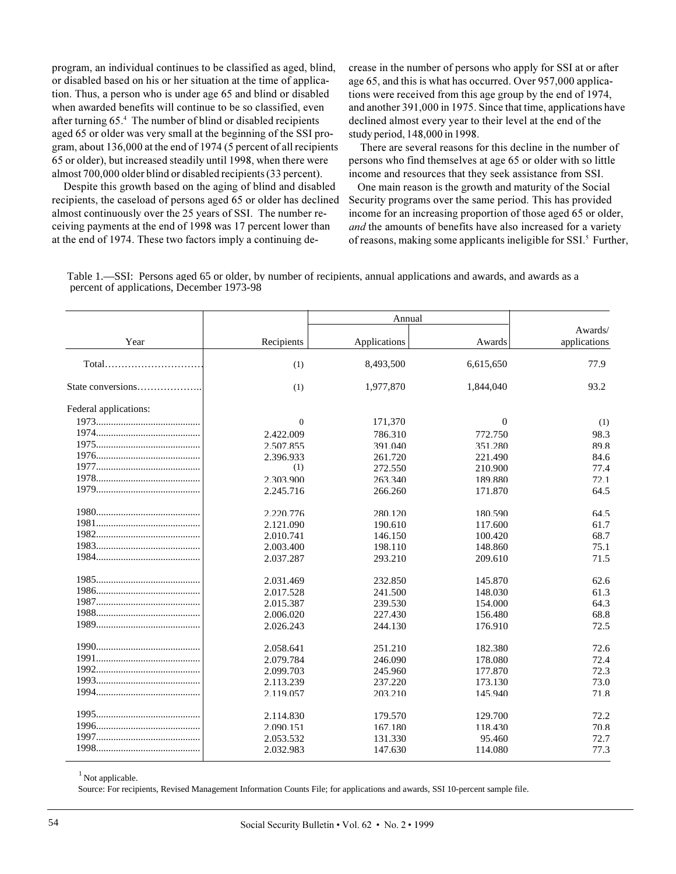program, an individual continues to be classified as aged, blind, or disabled based on his or her situation at the time of application. Thus, a person who is under age 65 and blind or disabled when awarded benefits will continue to be so classified, even after turning 65.4 The number of blind or disabled recipients aged 65 or older was very small at the beginning of the SSI program, about 136,000 at the end of 1974 (5 percent of all recipients 65 or older), but increased steadily until 1998, when there were almost 700,000 older blind or disabled recipients (33 percent).

Despite this growth based on the aging of blind and disabled recipients, the caseload of persons aged 65 or older has declined almost continuously over the 25 years of SSI. The number receiving payments at the end of 1998 was 17 percent lower than at the end of 1974. These two factors imply a continuing de-

crease in the number of persons who apply for SSI at or after age 65, and this is what has occurred. Over 957,000 applications were received from this age group by the end of 1974, and another 391,000 in 1975. Since that time, applications have declined almost every year to their level at the end of the study period, 148,000 in 1998.

There are several reasons for this decline in the number of persons who find themselves at age 65 or older with so little income and resources that they seek assistance from SSI.

One main reason is the growth and maturity of the Social Security programs over the same period. This has provided income for an increasing proportion of those aged 65 or older, and the amounts of benefits have also increased for a variety of reasons, making some applicants ineligible for SSI.<sup>5</sup> Further,

Table 1.—SSI: Persons aged 65 or older, by number of recipients, annual applications and awards, and awards as a percent of applications, December 1973-98

| Year                  |                | Annual       |              |                         |
|-----------------------|----------------|--------------|--------------|-------------------------|
|                       | Recipients     | Applications | Awards       | Awards/<br>applications |
|                       | (1)            | 8,493,500    | 6,615,650    | 77.9                    |
| State conversions     | (1)            | 1,977,870    | 1,844,040    | 93.2                    |
| Federal applications: |                |              |              |                         |
|                       | $\overline{0}$ | 171,370      | $\mathbf{0}$ | (1)                     |
|                       | 2.422.009      | 786.310      | 772.750      | 98.3                    |
|                       | 2.507.855      | 391.040      | 351.280      | 89.8                    |
|                       | 2.396.933      | 261.720      | 221.490      | 84.6                    |
|                       | (1)            | 272.550      | 210.900      | 77.4                    |
|                       | 2.303.900      | 263.340      | 189.880      | 72.1                    |
|                       | 2.245.716      | 266.260      | 171.870      | 64.5                    |
|                       | 2.220.776      | 280.120      | 180.590      | 64.5                    |
|                       | 2.121.090      | 190.610      | 117.600      | 61.7                    |
|                       | 2.010.741      | 146.150      | 100.420      | 68.7                    |
|                       | 2.003.400      | 198.110      | 148.860      | 75.1                    |
|                       | 2.037.287      | 293.210      | 209.610      | 71.5                    |
|                       | 2.031.469      | 232.850      | 145,870      | 62.6                    |
|                       | 2.017.528      | 241.500      | 148.030      | 61.3                    |
|                       | 2.015.387      | 239.530      | 154.000      | 64.3                    |
|                       | 2.006.020      | 227.430      | 156.480      | 68.8                    |
|                       | 2.026.243      | 244.130      | 176.910      | 72.5                    |
|                       | 2.058.641      | 251.210      | 182.380      | 72.6                    |
|                       | 2.079.784      | 246.090      | 178.080      | 72.4                    |
|                       | 2.099.703      | 245.960      | 177,870      | 72.3                    |
|                       | 2.113.239      | 237.220      | 173.130      | 73.0                    |
|                       | 2.119.057      | 203.210      | 145.940      | 71.8                    |
|                       | 2.114.830      | 179.570      | 129.700      | 72.2                    |
|                       | 2.090.151      | 167.180      | 118.430      | 70.8                    |
|                       | 2.053.532      | 131.330      | 95.460       | 72.7                    |
|                       | 2.032.983      | 147.630      | 114.080      | 77.3                    |

 $<sup>1</sup>$  Not applicable.</sup>

Source: For recipients, Revised Management Information Counts File; for applications and awards, SSI 10-percent sample file.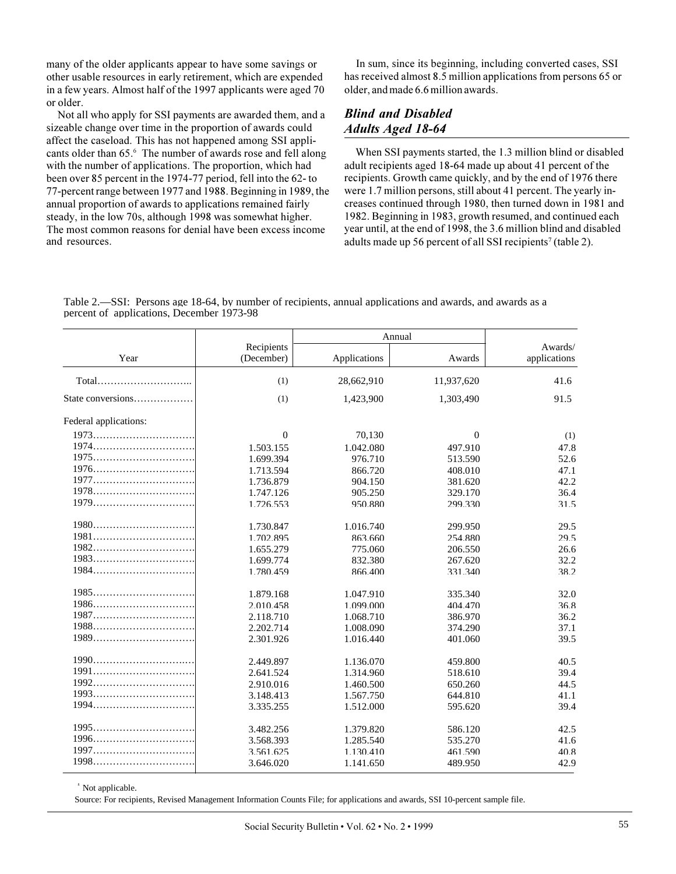many of the older applicants appear to have some savings or other usable resources in early retirement, which are expended in a few years. Almost half of the 1997 applicants were aged 70 or older.

Not all who apply for SSI payments are awarded them, and a sizeable change over time in the proportion of awards could affect the caseload. This has not happened among SSI applicants older than 65.<sup>6</sup> The number of awards rose and fell along with the number of applications. The proportion, which had been over 85 percent in the 1974-77 period, fell into the 62-to 77-percent range between 1977 and 1988. Beginning in 1989, the annual proportion of awards to applications remained fairly steady, in the low 70s, although 1998 was somewhat higher. The most common reasons for denial have been excess income and resources.

In sum, since its beginning, including converted cases, SSI has received almost 8.5 million applications from persons 65 or older, and made 6.6 million awards.

## **Blind and Disabled** *Adults Aged 18-64*

When SSI payments started, the 1.3 million blind or disabled adult recipients aged 18-64 made up about 41 percent of the recipients. Growth came quickly, and by the end of 1976 there were 1.7 million persons, still about 41 percent. The yearly increases continued through 1980, then turned down in 1981 and 1982. Beginning in 1983, growth resumed, and continued each year until, at the end of 1998, the 3.6 million blind and disabled adults made up 56 percent of all SSI recipients<sup>7</sup> (table 2).

Table 2.—SSI: Persons age 18-64, by number of recipients, annual applications and awards, and awards as a percent of applications, December 1973-98

| Year                  |                          | Annual       |              |                         |
|-----------------------|--------------------------|--------------|--------------|-------------------------|
|                       | Recipients<br>(December) | Applications | Awards       | Awards/<br>applications |
|                       | (1)                      | 28,662,910   | 11,937,620   | 41.6                    |
| State conversions     | (1)                      | 1,423,900    | 1,303,490    | 91.5                    |
| Federal applications: |                          |              |              |                         |
| 1973                  | $\mathbf{0}$             | 70,130       | $\mathbf{0}$ | (1)                     |
|                       | 1.503.155                | 1.042.080    | 497.910      | 47.8                    |
| 1975                  | 1.699.394                | 976.710      | 513.590      | 52.6                    |
|                       | 1.713.594                | 866.720      | 408.010      | 47.1                    |
|                       | 1.736.879                | 904.150      | 381.620      | 42.2                    |
|                       | 1.747.126                | 905.250      | 329.170      | 36.4                    |
|                       | 1.726.553                | 950.880      | 299.330      | 31.5                    |
|                       | 1.730.847                | 1.016.740    | 299.950      | 29.5                    |
|                       | 1.702.895                | 863.660      | 254.880      | 29.5                    |
| 1982                  | 1.655.279                | 775.060      | 206.550      | 26.6                    |
|                       | 1.699.774                | 832.380      | 267.620      | 32.2                    |
| 1984                  | 1.780.459                | 866.400      | 331.340      | 38.2                    |
| $1985$                | 1.879.168                | 1.047.910    | 335.340      | 32.0                    |
|                       | 2.010.458                | 1.099.000    | 404,470      | 36.8                    |
| 1987                  | 2.118.710                | 1.068.710    | 386.970      | 36.2                    |
| $1988$                | 2.202.714                | 1.008.090    | 374.290      | 37.1                    |
| 1989                  | 2.301.926                | 1.016.440    | 401.060      | 39.5                    |
|                       | 2.449.897                | 1.136.070    | 459.800      | 40.5                    |
| 1991                  | 2.641.524                | 1.314.960    | 518.610      | 394                     |
| 1992                  | 2.910.016                | 1.460.500    | 650.260      | 44.5                    |
|                       | 3.148.413                | 1.567.750    | 644.810      | 41.1                    |
|                       | 3.335.255                | 1.512.000    | 595.620      | 39.4                    |
|                       | 3.482.256                | 1.379.820    | 586.120      | 42.5                    |
|                       | 3.568.393                | 1.285.540    | 535.270      | 41.6                    |
|                       | 3.561.625                | 1.130.410    | 461.590      | 40.8                    |
|                       | 3.646.020                | 1.141.650    | 489.950      | 42.9                    |

<sup>1</sup> Not applicable.

Source: For recipients, Revised Management Information Counts File; for applications and awards, SSI 10-percent sample file.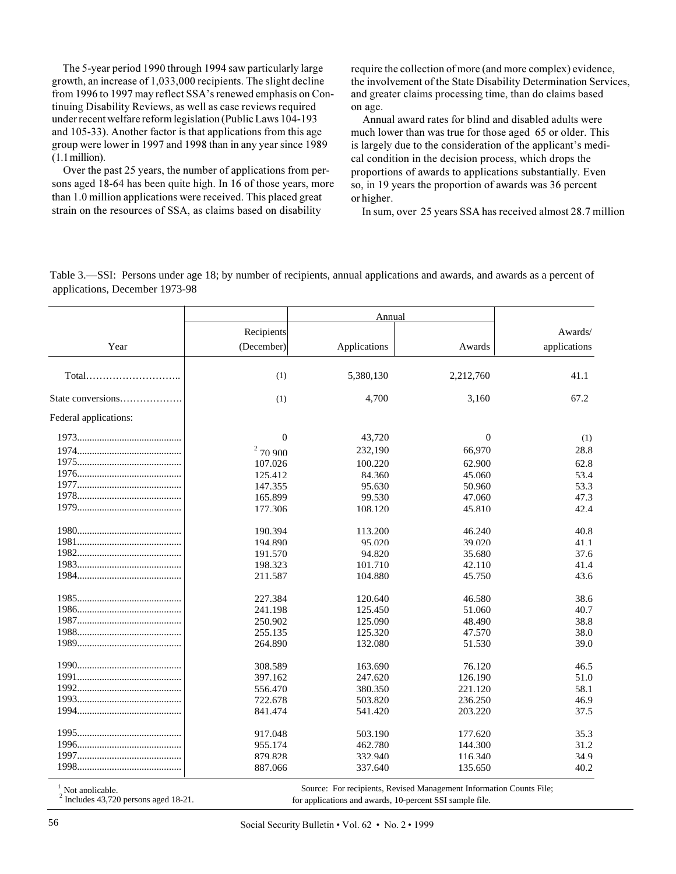The 5-year period 1990 through 1994 saw particularly large growth, an increase of 1,033,000 recipients. The slight decline from 1996 to 1997 may reflect SSA's renewed emphasis on Continuing Disability Reviews, as well as case reviews required under recent welfare reform legislation (Public Laws 104-193 and 105-33). Another factor is that applications from this age group were lower in 1997 and 1998 than in any year since 1989  $(1.1$  million).

Over the past 25 years, the number of applications from persons aged 18-64 has been quite high. In 16 of those years, more than 1.0 million applications were received. This placed great strain on the resources of SSA, as claims based on disability

require the collection of more (and more complex) evidence, the involvement of the State Disability Determination Services, and greater claims processing time, than do claims based on age.

Annual award rates for blind and disabled adults were much lower than was true for those aged 65 or older. This is largely due to the consideration of the applicant's medical condition in the decision process, which drops the proportions of awards to applications substantially. Even so, in 19 years the proportion of awards was 36 percent or higher.

In sum, over 25 years SSA has received almost 28.7 million

Table 3.—SSI: Persons under age 18; by number of recipients, annual applications and awards, and awards as a percent of applications, December 1973-98

|                       |            | Annual       |           |              |
|-----------------------|------------|--------------|-----------|--------------|
|                       | Recipients |              |           | Awards/      |
| Year                  | (December) | Applications | Awards    | applications |
|                       |            |              |           |              |
|                       | (1)        | 5,380,130    | 2,212,760 | 41.1         |
| State conversions     | (1)        | 4,700        | 3,160     | 67.2         |
| Federal applications: |            |              |           |              |
|                       | $\theta$   | 43,720       | $\theta$  | (1)          |
|                       | 270900     | 232,190      | 66,970    | 28.8         |
|                       | 107.026    | 100.220      | 62.900    | 62.8         |
|                       | 125.412    | 84.360       | 45.060    | 53.4         |
|                       | 147.355    | 95.630       | 50.960    | 53.3         |
|                       | 165.899    | 99.530       | 47.060    | 47.3         |
|                       | 177.306    | 108.120      | 45.810    | 42.4         |
|                       | 190.394    | 113.200      | 46.240    | 40.8         |
|                       | 194.890    | 95.020       | 39.020    | 41.1         |
|                       | 191.570    | 94.820       | 35.680    | 37.6         |
|                       | 198.323    | 101.710      | 42.110    | 41.4         |
|                       | 211.587    | 104.880      | 45.750    | 43.6         |
|                       | 227.384    | 120.640      | 46.580    | 38.6         |
|                       | 241.198    | 125.450      | 51.060    | 40.7         |
|                       | 250.902    | 125.090      | 48.490    | 38.8         |
|                       | 255.135    | 125.320      | 47.570    | 38.0         |
|                       | 264.890    | 132.080      | 51.530    | 39.0         |
|                       | 308.589    | 163.690      | 76.120    | 46.5         |
|                       | 397.162    | 247.620      | 126.190   | 51.0         |
|                       | 556.470    | 380.350      | 221.120   | 58.1         |
|                       | 722.678    | 503.820      | 236.250   | 46.9         |
|                       | 841.474    | 541.420      | 203.220   | 37.5         |
|                       | 917.048    | 503.190      | 177.620   | 35.3         |
|                       | 955.174    | 462.780      | 144,300   | 31.2         |
|                       | 879.828    | 332.940      | 116.340   | 34.9         |
|                       | 887.066    | 337.640      | 135.650   | 40.2         |

Not applicable.<br>
1 Not applications and awards, Revised Management Information Counts File;<br>
1 Includes 43,720 persons aged 18-21.<br>
2 1 The Source: For recipients, Revised Management Information Counts File;

for applications and awards, 10-percent SSI sample file.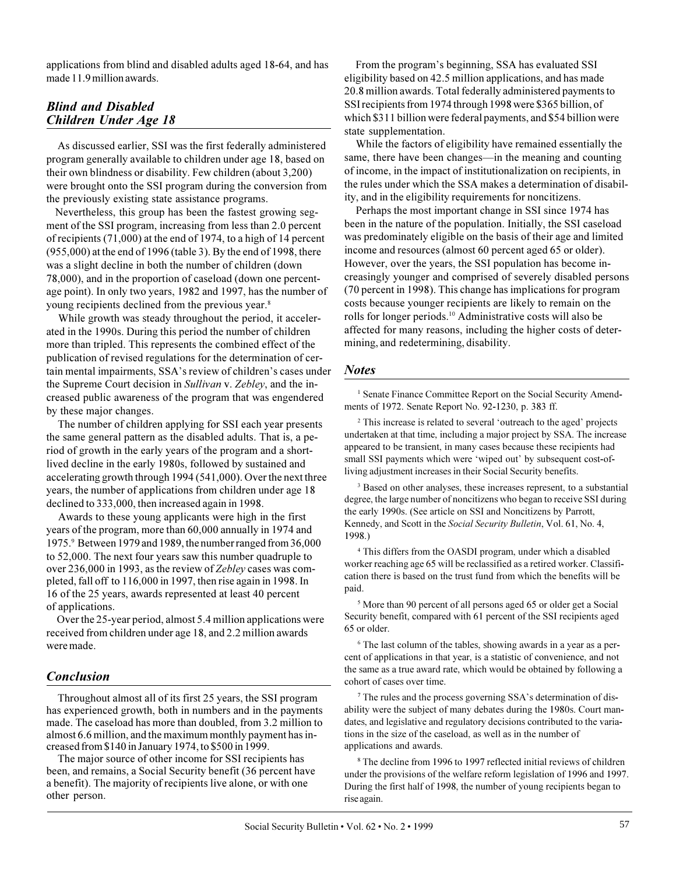applications from blind and disabled adults aged 18-64, and has made 11.9 million awards.

#### **Blind and Disabled** Children Under Age 18

As discussed earlier, SSI was the first federally administered program generally available to children under age 18, based on their own blindness or disability. Few children (about 3,200) were brought onto the SSI program during the conversion from the previously existing state assistance programs.

Nevertheless, this group has been the fastest growing segment of the SSI program, increasing from less than 2.0 percent of recipients (71,000) at the end of 1974, to a high of 14 percent (955,000) at the end of 1996 (table 3). By the end of 1998, there was a slight decline in both the number of children (down 78,000), and in the proportion of caseload (down one percentage point). In only two years, 1982 and 1997, has the number of young recipients declined from the previous year.<sup>8</sup>

While growth was steady throughout the period, it accelerated in the 1990s. During this period the number of children more than tripled. This represents the combined effect of the publication of revised regulations for the determination of certain mental impairments, SSA's review of children's cases under the Supreme Court decision in Sullivan v. Zebley, and the increased public awareness of the program that was engendered by these major changes.

The number of children applying for SSI each year presents the same general pattern as the disabled adults. That is, a period of growth in the early years of the program and a shortlived decline in the early 1980s, followed by sustained and accelerating growth through 1994 (541,000). Over the next three years, the number of applications from children under age 18 declined to 333,000, then increased again in 1998.

Awards to these young applicants were high in the first years of the program, more than 60,000 annually in 1974 and 1975.9 Between 1979 and 1989, the number ranged from 36,000 to 52,000. The next four years saw this number quadruple to over 236,000 in 1993, as the review of Zebley cases was completed, fall off to 116,000 in 1997, then rise again in 1998. In 16 of the 25 years, awards represented at least 40 percent of applications.

Over the 25-year period, almost 5.4 million applications were received from children under age 18, and 2.2 million awards were made.

## **Conclusion**

Throughout almost all of its first 25 years, the SSI program has experienced growth, both in numbers and in the payments made. The caseload has more than doubled, from 3.2 million to almost 6.6 million, and the maximum monthly payment has increased from \$140 in January 1974, to \$500 in 1999.

The major source of other income for SSI recipients has been, and remains, a Social Security benefit (36 percent have a benefit). The majority of recipients live alone, or with one other person.

From the program's beginning, SSA has evaluated SSI eligibility based on 42.5 million applications, and has made 20.8 million awards. Total federally administered payments to SSI recipients from 1974 through 1998 were \$365 billion, of which \$311 billion were federal payments, and \$54 billion were state supplementation.

While the factors of eligibility have remained essentially the same, there have been changes—in the meaning and counting of income, in the impact of institutionalization on recipients, in the rules under which the SSA makes a determination of disability, and in the eligibility requirements for noncitizens.

Perhaps the most important change in SSI since 1974 has been in the nature of the population. Initially, the SSI caseload was predominately eligible on the basis of their age and limited income and resources (almost 60 percent aged 65 or older). However, over the years, the SSI population has become increasingly younger and comprised of severely disabled persons (70 percent in 1998). This change has implications for program costs because younger recipients are likely to remain on the rolls for longer periods.<sup>10</sup> Administrative costs will also be affected for many reasons, including the higher costs of determining, and redetermining, disability.

#### **Notes**

<sup>1</sup> Senate Finance Committee Report on the Social Security Amendments of 1972. Senate Report No. 92-1230, p. 383 ff.

<sup>2</sup> This increase is related to several 'outreach to the aged' projects undertaken at that time, including a major project by SSA. The increase appeared to be transient, in many cases because these recipients had small SSI payments which were 'wiped out' by subsequent cost-ofliving adjustment increases in their Social Security benefits.

<sup>3</sup> Based on other analyses, these increases represent, to a substantial degree, the large number of noncitizens who began to receive SSI during the early 1990s. (See article on SSI and Noncitizens by Parrott, Kennedy, and Scott in the Social Security Bulletin, Vol. 61, No. 4, 1998.)

<sup>4</sup> This differs from the OASDI program, under which a disabled worker reaching age 65 will be reclassified as a retired worker. Classification there is based on the trust fund from which the benefits will be paid.

<sup>5</sup> More than 90 percent of all persons aged 65 or older get a Social Security benefit, compared with 61 percent of the SSI recipients aged 65 or older.

<sup>6</sup> The last column of the tables, showing awards in a year as a percent of applications in that year, is a statistic of convenience, and not the same as a true award rate, which would be obtained by following a cohort of cases over time.

<sup>7</sup> The rules and the process governing SSA's determination of disability were the subject of many debates during the 1980s. Court mandates, and legislative and regulatory decisions contributed to the variations in the size of the caseload, as well as in the number of applications and awards.

<sup>8</sup> The decline from 1996 to 1997 reflected initial reviews of children under the provisions of the welfare reform legislation of 1996 and 1997. During the first half of 1998, the number of young recipients began to rise again.